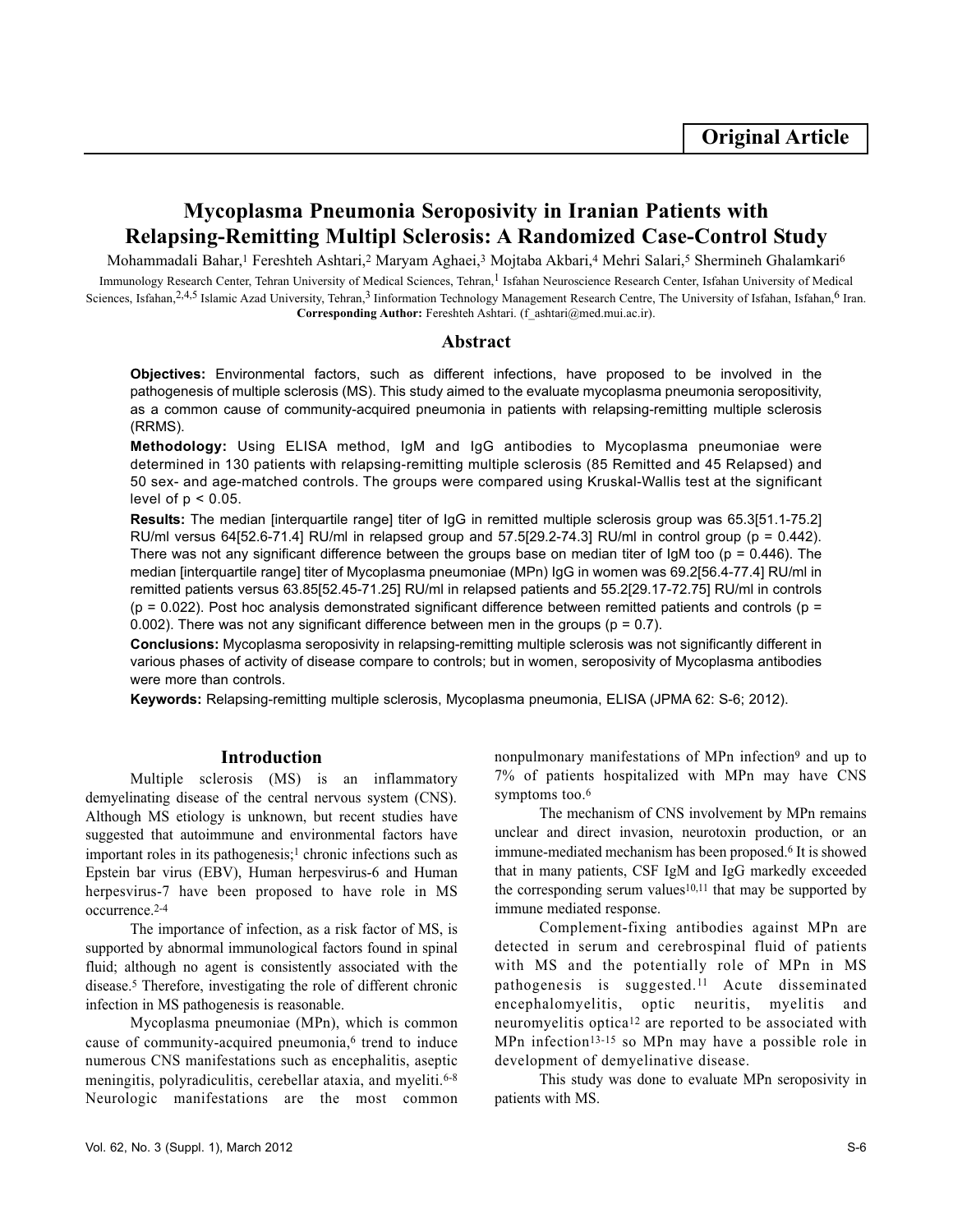# **Mycoplasma Pneumonia Seroposivity in Iranian Patients with Relapsing-Remitting Multipl Sclerosis: A Randomized Case-Control Study**

Mohammadali Bahar,<sup>1</sup> Fereshteh Ashtari,<sup>2</sup> Maryam Aghaei,<sup>3</sup> Mojtaba Akbari,<sup>4</sup> Mehri Salari,<sup>5</sup> Shermineh Ghalamkari<sup>6</sup> Immunology Research Center, Tehran University of Medical Sciences, Tehran,<sup>1</sup> Isfahan Neuroscience Research Center, Isfahan University of Medical Sciences, Isfahan,<sup>2,4,5</sup> Islamic Azad University, Tehran,<sup>3</sup> Iinformation Technology Management Research Centre, The University of Isfahan, Isfahan,<sup>6</sup> Iran. Corresponding Author: Fereshteh Ashtari. (f\_ashtari@med.mui.ac.ir).

## **Abstract**

**Objectives:** Environmental factors, such as different infections, have proposed to be involved in the pathogenesis of multiple sclerosis (MS). This study aimed to the evaluate mycoplasma pneumonia seropositivity, as a common cause of community-acquired pneumonia in patients with relapsing-remitting multiple sclerosis (RRMS).

**Methodology:** Using ELISA method, IgM and IgG antibodies to Mycoplasma pneumoniae were determined in 130 patients with relapsing-remitting multiple sclerosis (85 Remitted and 45 Relapsed) and 50 sex- and age-matched controls. The groups were compared using Kruskal-Wallis test at the significant level of  $p < 0.05$ .

**Results:** The median [interquartile range] titer of IgG in remitted multiple sclerosis group was 65.3[51.1-75.2] RU/ml versus 64[52.6-71.4] RU/ml in relapsed group and 57.5[29.2-74.3] RU/ml in control group ( $p = 0.442$ ). There was not any significant difference between the groups base on median titer of  $\text{IqM}$  too (p = 0.446). The median [interquartile range] titer of Mycoplasma pneumoniae (MPn) IgG in women was 69.2[56.4-77.4] RU/ml in remitted patients versus 63.85[52.45-71.25] RU/ml in relapsed patients and 55.2[29.17-72.75] RU/ml in controls  $(p = 0.022)$ . Post hoc analysis demonstrated significant difference between remitted patients and controls  $(p = 1.022)$ 0.002). There was not any significant difference between men in the groups ( $p = 0.7$ ).

**Conclusions:** Mycoplasma seroposivity in relapsing-remitting multiple sclerosis was not significantly different in various phases of activity of disease compare to controls; but in women, seroposivity of Mycoplasma antibodies were more than controls.

**Keywords:** Relapsing-remitting multiple sclerosis, Mycoplasma pneumonia, ELISA (JPMA 62: S-6; 2012).

#### **Introduction**

Multiple sclerosis (MS) is an inflammatory demyelinating disease of the central nervous system (CNS). Although MS etiology is unknown, but recent studies have suggested that autoimmune and environmental factors have important roles in its pathogenesis;<sup>1</sup> chronic infections such as Epstein bar virus (EBV), Human herpesvirus-6 and Human herpesvirus-7 have been proposed to have role in MS occurrence.2-4

The importance of infection, as a risk factor of MS, is supported by abnormal immunological factors found in spinal fluid; although no agent is consistently associated with the disease.<sup>5</sup> Therefore, investigating the role of different chronic infection in MS pathogenesis is reasonable.

Mycoplasma pneumoniae (MPn), which is common cause of community-acquired pneumonia,<sup>6</sup> trend to induce numerous CNS manifestations such as encephalitis, aseptic meningitis, polyradiculitis, cerebellar ataxia, and myeliti.<sup>6-8</sup> Neurologic manifestations are the most common nonpulmonary manifestations of MPn infection<sup>9</sup> and up to 7% of patients hospitalized with MPn may have CNS symptoms too.<sup>6</sup>

The mechanism of CNS involvement by MPn remains unclear and direct invasion, neurotoxin production, or an immune-mediated mechanism has been proposed.<sup>6</sup> It is showed that in many patients, CSF IgM and IgG markedly exceeded the corresponding serum values<sup>10,11</sup> that may be supported by immune mediated response.

Complement-fixing antibodies against MPn are detected in serum and cerebrospinal fluid of patients with MS and the potentially role of MPn in MS pathogenesis is suggested.<sup>11</sup> Acute disseminated encephalomyelitis, optic neuritis, myelitis and neuromyelitis optica<sup>12</sup> are reported to be associated with MPn infection<sup>13-15</sup> so MPn may have a possible role in development of demyelinative disease.

This study was done to evaluate MPn seroposivity in patients with MS.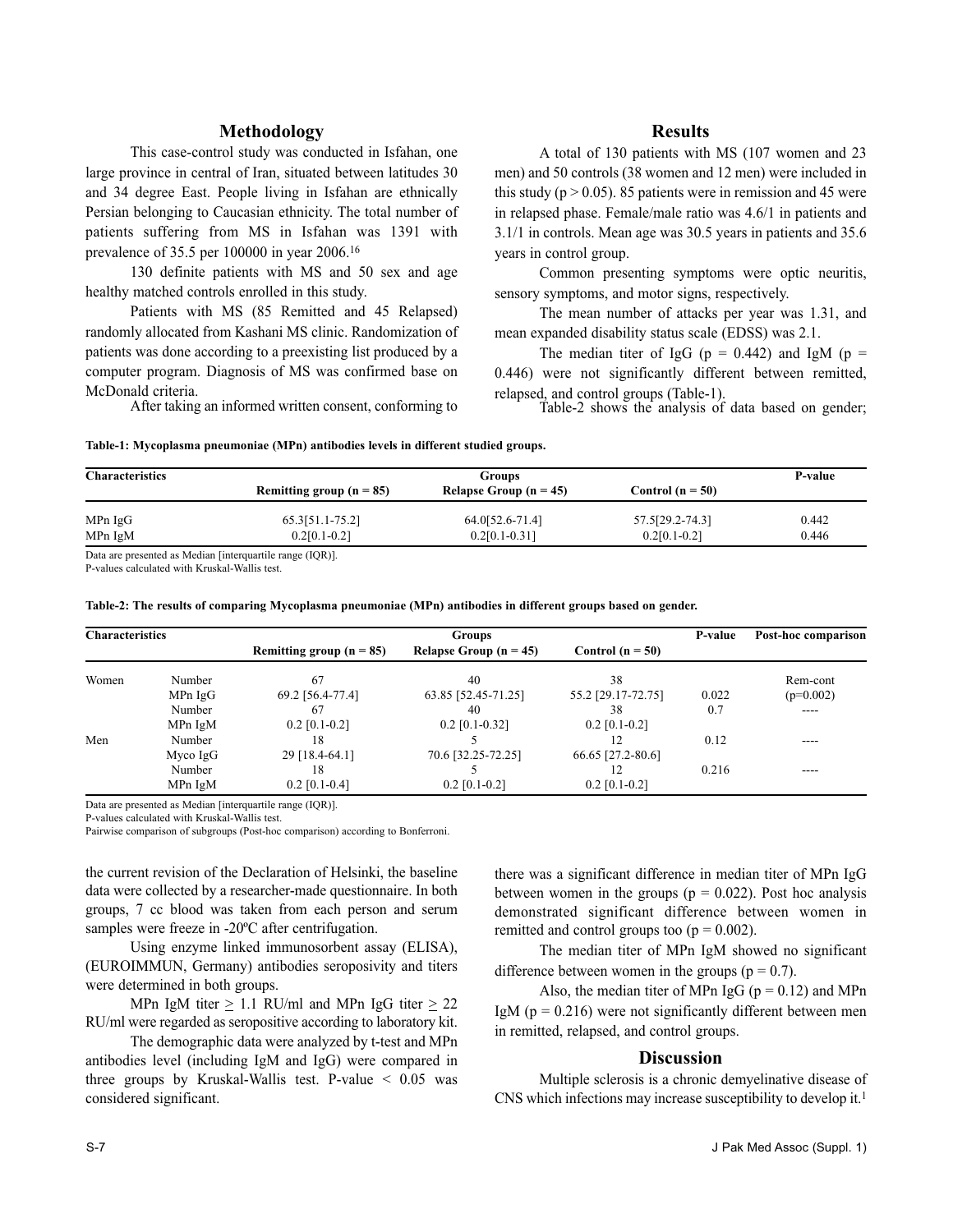### **Methodology**

This case-control study was conducted in Isfahan, one large province in central of Iran, situated between latitudes 30 and 34 degree East. People living in Isfahan are ethnically Persian belonging to Caucasian ethnicity. The total number of patients suffering from MS in Isfahan was 1391 with prevalence of 35.5 per 100000 in year 2006.<sup>16</sup>

130 definite patients with MS and 50 sex and age healthy matched controls enrolled in this study.

Patients with MS (85 Remitted and 45 Relapsed) randomly allocated from Kashani MS clinic. Randomization of patients was done according to a preexisting list produced by a computer program. Diagnosis of MS was confirmed base on McDonald criteria.

After taking an informed written consent, conforming to

### **Results**

A total of 130 patients with MS (107 women and 23 men) and 50 controls (38 women and 12 men) were included in this study ( $p > 0.05$ ). 85 patients were in remission and 45 were in relapsed phase. Female/male ratio was 4.6/1 in patients and 3.1/1 in controls. Mean age was 30.5 years in patients and 35.6 years in control group.

Common presenting symptoms were optic neuritis, sensory symptoms, and motor signs, respectively.

The mean number of attacks per year was 1.31, and mean expanded disability status scale (EDSS) was 2.1.

The median titer of IgG ( $p = 0.442$ ) and IgM ( $p =$ 0.446) were not significantly different between remitted, relapsed, and control groups (Table-1).

Table-2 shows the analysis of data based on gender;

|  |  |  | Table-1: Mycoplasma pneumoniae (MPn) antibodies levels in different studied groups. |
|--|--|--|-------------------------------------------------------------------------------------|
|--|--|--|-------------------------------------------------------------------------------------|

| <b>Characteristics</b> | <b>Groups</b>              |                          |                      | P-value |
|------------------------|----------------------------|--------------------------|----------------------|---------|
|                        | Remitting group $(n = 85)$ | Relapse Group $(n = 45)$ | Control ( $n = 50$ ) |         |
| MPn IgG                | 65.3[51.1-75.2]            | 64.0[52.6-71.4]          | 57.5[29.2-74.3]      | 0.442   |
| MPn IgM                | $0.2[0.1-0.2]$             | $0.2[0.1-0.31]$          | $0.2[0.1-0.2]$       | 0.446   |

P-values calculated with Kruskal-Wallis test.

**Table-2: The results of comparing Mycoplasma pneumoniae (MPn) antibodies in different groups based on gender.**

| <b>Characteristics</b> |          | Groups                     |                          |                    | P-value | Post-hoc comparison |
|------------------------|----------|----------------------------|--------------------------|--------------------|---------|---------------------|
|                        |          | Remitting group $(n = 85)$ | Relapse Group $(n = 45)$ | Control $(n = 50)$ |         |                     |
| Women                  | Number   | 67                         | 40                       | 38                 |         | Rem-cont            |
|                        | MPn IgG  | 69.2 [56.4-77.4]           | 63.85 [52.45-71.25]      | 55.2 [29.17-72.75] | 0.022   | $(p=0.002)$         |
|                        | Number   | 67                         | 40                       | 38                 | 0.7     | ----                |
|                        | MPn IgM  | $0.2$ [0.1-0.2]            | $0.2$ [0.1-0.32]         | $0.2$ [0.1-0.2]    |         |                     |
| Men                    | Number   | 18                         |                          |                    | 0.12    | ----                |
|                        | Myco IgG | 29 [18.4-64.1]             | 70.6 [32.25-72.25]       | 66.65 [27.2-80.6]  |         |                     |
|                        | Number   | 18                         |                          |                    | 0.216   | ----                |
|                        | MPn IgM  | $0.2$ [0.1-0.4]            | $0.2$ [0.1-0.2]          | $0.2$ [0.1-0.2]    |         |                     |

Data are presented as Median [interquartile range (IQR)].

P-values calculated with Kruskal-Wallis test.

Pairwise comparison of subgroups (Post-hoc comparison) according to Bonferroni.

the current revision of the Declaration of Helsinki, the baseline data were collected by a researcher-made questionnaire. In both groups, 7 cc blood was taken from each person and serum samples were freeze in -20<sup>o</sup>C after centrifugation.

Using enzyme linked immunosorbent assay (ELISA), (EUROIMMUN, Germany) antibodies seroposivity and titers were determined in both groups.

MPn IgM titer  $\geq$  1.1 RU/ml and MPn IgG titer  $\geq$  22 RU/ml were regarded as seropositive according to laboratory kit.

The demographic data were analyzed by t-test and MPn antibodies level (including IgM and IgG) were compared in three groups by Kruskal-Wallis test. P-value  $\leq 0.05$  was considered significant.

there was a significant difference in median titer of MPn IgG between women in the groups ( $p = 0.022$ ). Post hoc analysis demonstrated significant difference between women in remitted and control groups too  $(p = 0.002)$ .

The median titer of MPn IgM showed no significant difference between women in the groups ( $p = 0.7$ ).

Also, the median titer of MPn IgG ( $p = 0.12$ ) and MPn IgM ( $p = 0.216$ ) were not significantly different between men in remitted, relapsed, and control groups.

#### **Discussion**

Multiple sclerosis is a chronic demyelinative disease of CNS which infections may increase susceptibility to develop it.<sup>1</sup>